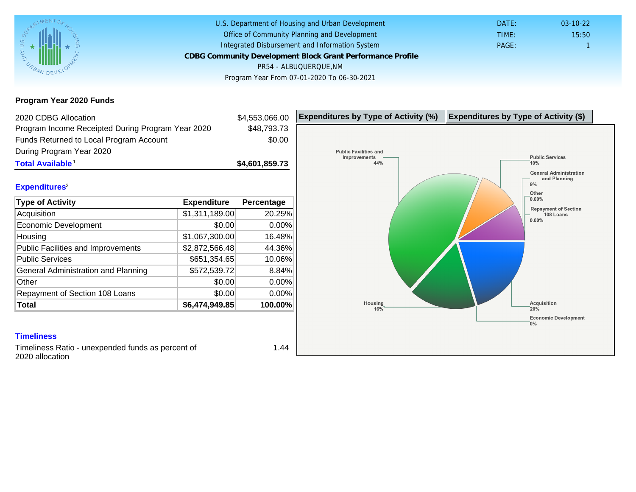Program Year 2020 Funds

| Program Income Receipted During Program Year 2020 |                |                |  |
|---------------------------------------------------|----------------|----------------|--|
|                                                   |                | \$48,793.73    |  |
| Funds Returned to Local Program Account           |                | \$0.00         |  |
| During Program Year 2020                          |                |                |  |
| Total Available <sup>1</sup>                      |                | \$4,601,859.73 |  |
|                                                   |                |                |  |
| Expenditures <sup>2</sup>                         |                |                |  |
| Type of Activity                                  | Expenditure    | Percentage     |  |
| Acquisition                                       | \$1,311,189.00 | 20.25%         |  |
| Economic Development                              | \$0.00         | 0.00%          |  |
| Housing                                           | \$1,067,300.00 | 16.48%         |  |
| <b>Public Facilities and Improvements</b>         | \$2,872,566.48 | 44.36%         |  |
| <b>Public Services</b>                            | \$651,354.65   | 10.06%         |  |
| General Administration and Planning               | \$572,539.72   | 8.84%          |  |
| Other                                             | \$0.00         | 0.00%          |  |
| Repayment of Section 108 Loans                    | \$0.00         | 0.00%          |  |
| Total                                             | \$6,474,949.85 | 100.00%        |  |

### **Timeliness**

Timeliness Ratio - unexpended funds as percent of 2020 allocation

1.44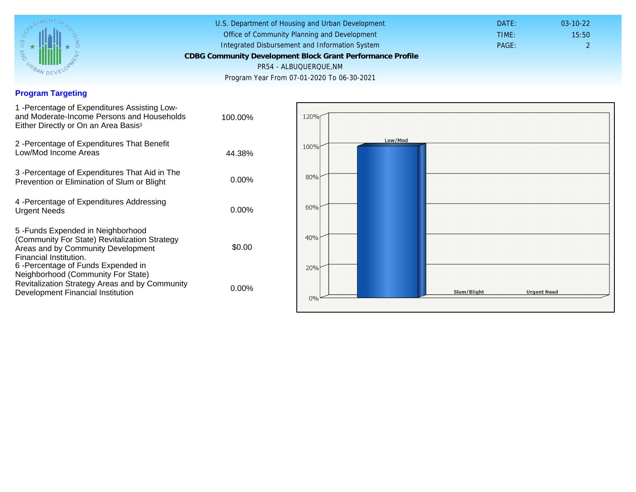# Program Targeting

| 1 - Percentage of Expenditures Assisting Low-<br>and Moderate-Income Persons and Households<br>Either Directly or On an Area Basis <sup>3</sup>                                                                              | 100.00%  |  |
|------------------------------------------------------------------------------------------------------------------------------------------------------------------------------------------------------------------------------|----------|--|
| 2 - Percentage of Expenditures That Benefit<br>Low/Mod Income Areas                                                                                                                                                          | 44.38%   |  |
| 3 - Percentage of Expenditures That Aid in The<br>Prevention or Elimination of Slum or Blight                                                                                                                                | $0.00\%$ |  |
| 4 - Percentage of Expenditures Addressing<br><b>Urgent Needs</b>                                                                                                                                                             | $0.00\%$ |  |
| 5-Funds Expended in Neighborhood<br>(Community For State) Revitalization Strategy<br>Areas and by Community Development<br>Financial Institution.<br>6-Percentage of Funds Expended in<br>Neighborhood (Community For State) | \$0.00   |  |
| Revitalization Strategy Areas and by Community<br>Development Financial Institution                                                                                                                                          | $0.00\%$ |  |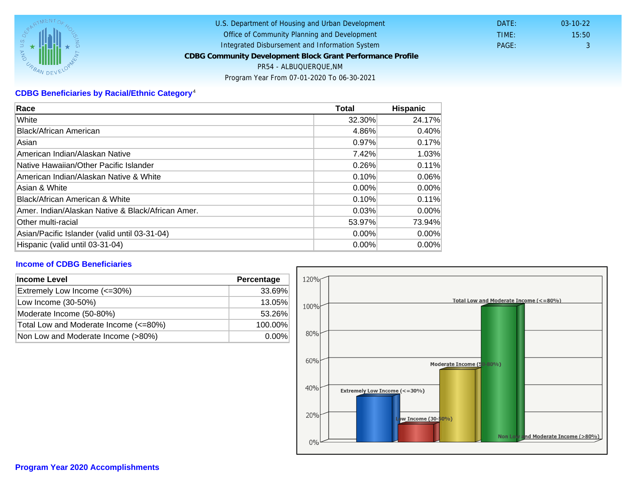# CDBG Beneficiaries by Racial/Ethnic Category <sup>4</sup>

| Race                                              | Total  | Hispanic |
|---------------------------------------------------|--------|----------|
| White                                             | 32.30% | 24.17%   |
| Black/African American                            | 4.86%  | 0.40%    |
| Asian                                             | 0.97%  | 0.17%    |
| IAmerican Indian/Alaskan Native                   | 7.42%  | 1.03%    |
| lNative Hawaiian/Other Pacific Islander           | 0.26%  | 0.11%    |
| American Indian/Alaskan Native & White            | 0.10%  | 0.06%    |
| Asian & White                                     | 0.00%  | $0.00\%$ |
| Black/African American & White                    | 0.10%  | 0.11%    |
| Amer. Indian/Alaskan Native & Black/African Amer. | 0.03%  | $0.00\%$ |
| <b>Other multi-racial</b>                         | 53.97% | 73.94%   |
| Asian/Pacific Islander (valid until 03-31-04)     | 0.00%  | $0.00\%$ |
| Hispanic (valid until 03-31-04)                   | 0.00%  | 0.00%    |

## Income of CDBG Beneficiaries

| Income Level                          | Percentage |  |
|---------------------------------------|------------|--|
| Extremely Low Income (<=30%)          | 33.69%     |  |
| Low Income (30-50%)                   | 13.05%     |  |
| Moderate Income (50-80%)              | 53.26%     |  |
| Total Low and Moderate Income (<=80%) | 100.00%    |  |
| Non Low and Moderate Income (>80%)    | $0.00\%$   |  |